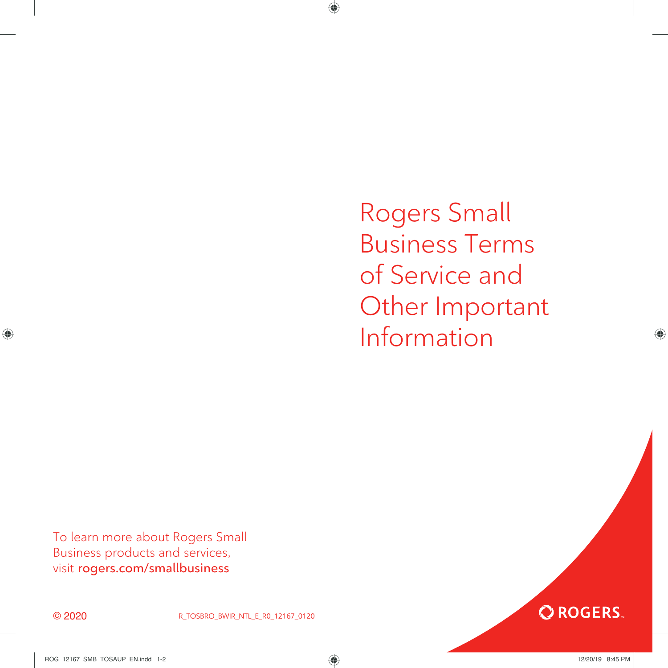Rogers Small Business Terms of Service and Other Important Information

**OROGERS.** 

To learn more about Rogers Small Business products and services, visit **rogers.com/smallbusiness**



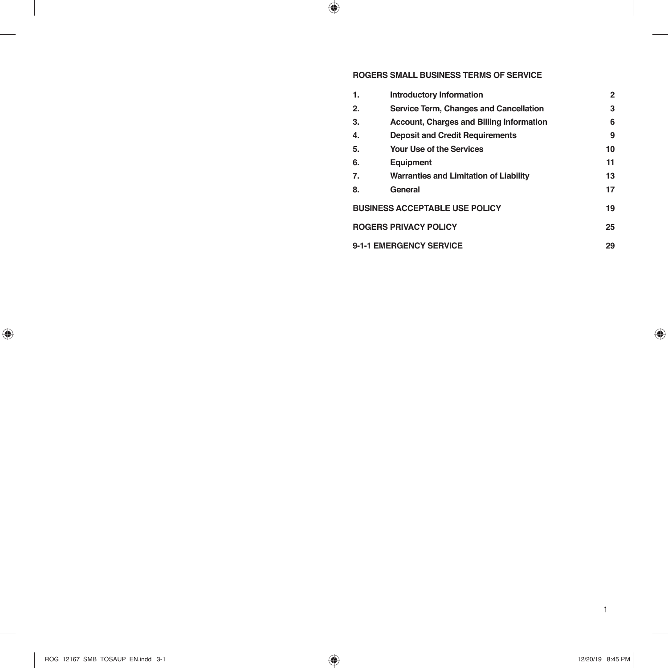# **ROGERS SMALL BUSINESS TERMS OF SERVICE**

| 1.                                    | Introductory Information                        | 2  |
|---------------------------------------|-------------------------------------------------|----|
| 2.                                    | Service Term, Changes and Cancellation          | 3  |
| 3.                                    | <b>Account, Charges and Billing Information</b> | 6  |
| 4.                                    | <b>Deposit and Credit Requirements</b>          | 9  |
| 5.                                    | <b>Your Use of the Services</b>                 | 10 |
| 6.                                    | Equipment                                       | 11 |
| 7.                                    | <b>Warranties and Limitation of Liability</b>   | 13 |
| 8.                                    | General                                         | 17 |
| <b>BUSINESS ACCEPTABLE USE POLICY</b> |                                                 | 19 |
| <b>ROGERS PRIVACY POLICY</b>          |                                                 | 25 |
| 9-1-1 EMERGENCY SERVICE               |                                                 | 29 |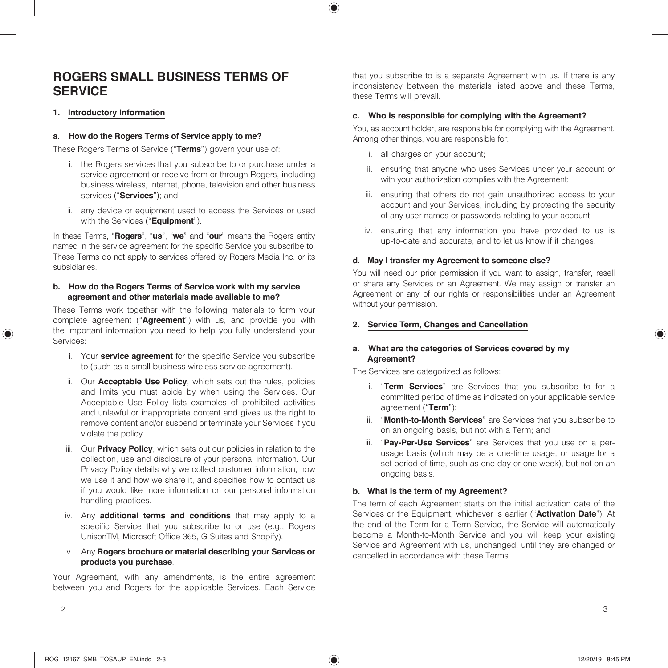# **ROGERS SMALL BUSINESS TERMS OF SERVICE**

#### **1. Introductory Information**

#### **a. How do the Rogers Terms of Service apply to me?**

These Rogers Terms of Service ("**Terms**") govern your use of:

- i. the Rogers services that you subscribe to or purchase under a service agreement or receive from or through Rogers, including business wireless, Internet, phone, television and other business services ("**Services**"); and
- ii. any device or equipment used to access the Services or used with the Services ("**Equipment**").

In these Terms, "**Rogers**", "**us**", "**we**" and "**our**" means the Rogers entity named in the service agreement for the specific Service you subscribe to. These Terms do not apply to services offered by Rogers Media Inc. or its subsidiaries.

#### **b. How do the Rogers Terms of Service work with my service agreement and other materials made available to me?**

These Terms work together with the following materials to form your complete agreement ("**Agreement**") with us, and provide you with the important information you need to help you fully understand your Services:

- i. Your **service agreement** for the specific Service you subscribe to (such as a small business wireless service agreement).
- ii. Our **Acceptable Use Policy**, which sets out the rules, policies and limits you must abide by when using the Services. Our Acceptable Use Policy lists examples of prohibited activities and unlawful or inappropriate content and gives us the right to remove content and/or suspend or terminate your Services if you violate the policy.
- iii. Our **Privacy Policy**, which sets out our policies in relation to the collection, use and disclosure of your personal information. Our Privacy Policy details why we collect customer information, how we use it and how we share it, and specifies how to contact us if you would like more information on our personal information handling practices.
- iv. Any **additional terms and conditions** that may apply to a specific Service that you subscribe to or use (e.g., Rogers UnisonTM, Microsoft Office 365, G Suites and Shopify).
- v. Any **Rogers brochure or material describing your Services or products you purchase**.

Your Agreement, with any amendments, is the entire agreement between you and Rogers for the applicable Services. Each Service that you subscribe to is a separate Agreement with us. If there is any inconsistency between the materials listed above and these Terms, these Terms will prevail.

#### **c. Who is responsible for complying with the Agreement?**

You, as account holder, are responsible for complying with the Agreement. Among other things, you are responsible for:

- i. all charges on your account;
- ii. ensuring that anyone who uses Services under your account or with your authorization complies with the Agreement;
- iii. ensuring that others do not gain unauthorized access to your account and your Services, including by protecting the security of any user names or passwords relating to your account;
- iv. ensuring that any information you have provided to us is up-to-date and accurate, and to let us know if it changes.

#### **d. May I transfer my Agreement to someone else?**

You will need our prior permission if you want to assign, transfer, resell or share any Services or an Agreement. We may assign or transfer an Agreement or any of our rights or responsibilities under an Agreement without your permission.

#### **2. Service Term, Changes and Cancellation**

#### **a. What are the categories of Services covered by my Agreement?**

The Services are categorized as follows:

- i. "**Term Services**" are Services that you subscribe to for a committed period of time as indicated on your applicable service agreement ("**Term**");
- ii. "**Month-to-Month Services**" are Services that you subscribe to on an ongoing basis, but not with a Term; and
- iii. "**Pay-Per-Use Services**" are Services that you use on a perusage basis (which may be a one-time usage, or usage for a set period of time, such as one day or one week), but not on an ongoing basis.

#### **b. What is the term of my Agreement?**

The term of each Agreement starts on the initial activation date of the Services or the Equipment, whichever is earlier ("**Activation Date**"). At the end of the Term for a Term Service, the Service will automatically become a Month-to-Month Service and you will keep your existing Service and Agreement with us, unchanged, until they are changed or cancelled in accordance with these Terms.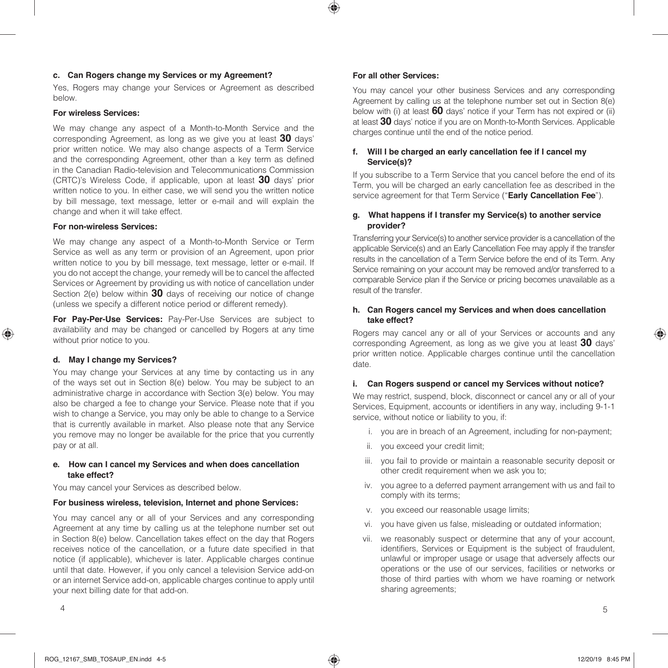#### **c. Can Rogers change my Services or my Agreement?**

Yes, Rogers may change your Services or Agreement as described below.

#### **For wireless Services:**

We may change any aspect of a Month-to-Month Service and the corresponding Agreement, as long as we give you at least **30** days' prior written notice. We may also change aspects of a Term Service and the corresponding Agreement, other than a key term as defined in the Canadian Radio-television and Telecommunications Commission (CRTC)'s Wireless Code, if applicable, upon at least **30** days' prior written notice to you. In either case, we will send you the written notice by bill message, text message, letter or e-mail and will explain the change and when it will take effect.

#### **For non-wireless Services:**

We may change any aspect of a Month-to-Month Service or Term Service as well as any term or provision of an Agreement, upon prior written notice to you by bill message, text message, letter or e-mail. If you do not accept the change, your remedy will be to cancel the affected Services or Agreement by providing us with notice of cancellation under Section 2(e) below within **30** days of receiving our notice of change (unless we specify a different notice period or different remedy).

**For Pay-Per-Use Services:** Pay-Per-Use Services are subject to availability and may be changed or cancelled by Rogers at any time without prior notice to you.

#### **d. May I change my Services?**

You may change your Services at any time by contacting us in any of the ways set out in Section 8(e) below. You may be subject to an administrative charge in accordance with Section 3(e) below. You may also be charged a fee to change your Service. Please note that if you wish to change a Service, you may only be able to change to a Service that is currently available in market. Also please note that any Service you remove may no longer be available for the price that you currently pay or at all.

#### **e. How can I cancel my Services and when does cancellation take effect?**

You may cancel your Services as described below.

#### **For business wireless, television, Internet and phone Services:**

You may cancel any or all of your Services and any corresponding Agreement at any time by calling us at the telephone number set out in Section 8(e) below. Cancellation takes effect on the day that Rogers receives notice of the cancellation, or a future date specified in that notice (if applicable), whichever is later. Applicable charges continue until that date. However, if you only cancel a television Service add-on or an internet Service add-on, applicable charges continue to apply until your next billing date for that add-on.

#### **For all other Services:**

You may cancel your other business Services and any corresponding Agreement by calling us at the telephone number set out in Section 8(e) below with (i) at least **60** days' notice if your Term has not expired or (ii) at least **30** days' notice if you are on Month-to-Month Services. Applicable charges continue until the end of the notice period.

#### **f. Will I be charged an early cancellation fee if I cancel my Service(s)?**

If you subscribe to a Term Service that you cancel before the end of its Term, you will be charged an early cancellation fee as described in the service agreement for that Term Service ("**Early Cancellation Fee**").

#### **g. What happens if I transfer my Service(s) to another service provider?**

Transferring your Service(s) to another service provider is a cancellation of the applicable Service(s) and an Early Cancellation Fee may apply if the transfer results in the cancellation of a Term Service before the end of its Term. Any Service remaining on your account may be removed and/or transferred to a comparable Service plan if the Service or pricing becomes unavailable as a result of the transfer.

#### **h. Can Rogers cancel my Services and when does cancellation take effect?**

Rogers may cancel any or all of your Services or accounts and any corresponding Agreement, as long as we give you at least **30** days' prior written notice. Applicable charges continue until the cancellation date.

#### **i. Can Rogers suspend or cancel my Services without notice?**

We may restrict, suspend, block, disconnect or cancel any or all of your Services, Equipment, accounts or identifiers in any way, including 9-1-1 service, without notice or liability to you, if:

- i. you are in breach of an Agreement, including for non-payment;
- ii. you exceed your credit limit;
- iii. you fail to provide or maintain a reasonable security deposit or other credit requirement when we ask you to;
- iv. you agree to a deferred payment arrangement with us and fail to comply with its terms;
- v. you exceed our reasonable usage limits;
- vi. you have given us false, misleading or outdated information;
- vii. we reasonably suspect or determine that any of your account, identifiers, Services or Equipment is the subject of fraudulent, unlawful or improper usage or usage that adversely affects our operations or the use of our services, facilities or networks or those of third parties with whom we have roaming or network sharing agreements;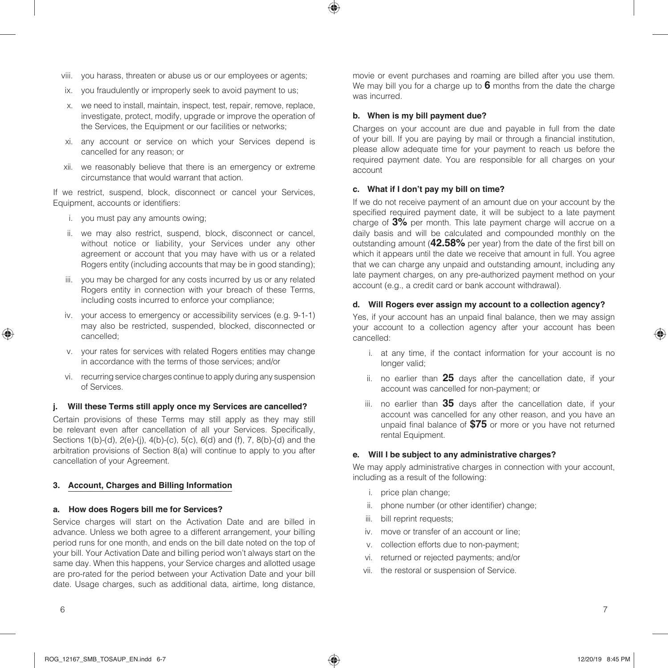- viii. you harass, threaten or abuse us or our employees or agents;
- ix. you fraudulently or improperly seek to avoid payment to us;
- x. we need to install, maintain, inspect, test, repair, remove, replace, investigate, protect, modify, upgrade or improve the operation of the Services, the Equipment or our facilities or networks;
- xi. any account or service on which your Services depend is cancelled for any reason; or
- xii. we reasonably believe that there is an emergency or extreme circumstance that would warrant that action.

If we restrict, suspend, block, disconnect or cancel your Services, Equipment, accounts or identifiers:

- i. you must pay any amounts owing;
- ii. we may also restrict, suspend, block, disconnect or cancel, without notice or liability, your Services under any other agreement or account that you may have with us or a related Rogers entity (including accounts that may be in good standing);
- iii. you may be charged for any costs incurred by us or any related Rogers entity in connection with your breach of these Terms, including costs incurred to enforce your compliance;
- iv. your access to emergency or accessibility services (e.g. 9-1-1) may also be restricted, suspended, blocked, disconnected or cancelled;
- v. your rates for services with related Rogers entities may change in accordance with the terms of those services; and/or
- vi. recurring service charges continue to apply during any suspension of Services.

## **j. Will these Terms still apply once my Services are cancelled?**

Certain provisions of these Terms may still apply as they may still be relevant even after cancellation of all your Services. Specifically, Sections 1(b)-(d), 2(e)-(j), 4(b)-(c), 5(c), 6(d) and (f), 7, 8(b)-(d) and the arbitration provisions of Section 8(a) will continue to apply to you after cancellation of your Agreement.

## **3. Account, Charges and Billing Information**

# **a. How does Rogers bill me for Services?**

Service charges will start on the Activation Date and are billed in advance. Unless we both agree to a different arrangement, your billing period runs for one month, and ends on the bill date noted on the top of your bill. Your Activation Date and billing period won't always start on the same day. When this happens, your Service charges and allotted usage are pro-rated for the period between your Activation Date and your bill date. Usage charges, such as additional data, airtime, long distance, movie or event purchases and roaming are billed after you use them. We may bill you for a charge up to **6** months from the date the charge was incurred.

### **b. When is my bill payment due?**

Charges on your account are due and payable in full from the date of your bill. If you are paying by mail or through a financial institution, please allow adequate time for your payment to reach us before the required payment date. You are responsible for all charges on your account

### **c. What if I don't pay my bill on time?**

If we do not receive payment of an amount due on your account by the specified required payment date, it will be subject to a late payment charge of **3%** per month. This late payment charge will accrue on a daily basis and will be calculated and compounded monthly on the outstanding amount (**42.58%** per year) from the date of the first bill on which it appears until the date we receive that amount in full. You agree that we can charge any unpaid and outstanding amount, including any late payment charges, on any pre-authorized payment method on your account (e.g., a credit card or bank account withdrawal).

## **d. Will Rogers ever assign my account to a collection agency?**

Yes, if your account has an unpaid final balance, then we may assign your account to a collection agency after your account has been cancelled:

- i. at any time, if the contact information for your account is no longer valid;
- ii. no earlier than **25** days after the cancellation date, if your account was cancelled for non-payment; or
- iii. no earlier than **35** days after the cancellation date, if your account was cancelled for any other reason, and you have an unpaid final balance of **\$75** or more or you have not returned rental Equipment.

### **e. Will I be subject to any administrative charges?**

We may apply administrative charges in connection with your account, including as a result of the following:

- i. price plan change;
- ii. phone number (or other identifier) change;
- iii. bill reprint requests:
- iv. move or transfer of an account or line;
- v. collection efforts due to non-payment;
- vi. returned or rejected payments; and/or
- vii. the restoral or suspension of Service.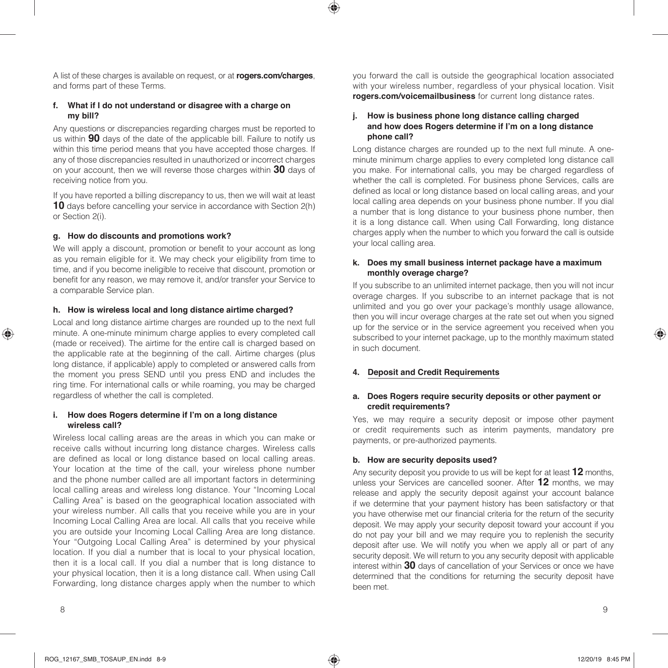A list of these charges is available on request, or at **rogers.com/charges**, and forms part of these Terms.

#### **f. What if I do not understand or disagree with a charge on my bill?**

Any questions or discrepancies regarding charges must be reported to us within **90** days of the date of the applicable bill. Failure to notify us within this time period means that you have accepted those charges. If any of those discrepancies resulted in unauthorized or incorrect charges on your account, then we will reverse those charges within **30** days of receiving notice from you.

If you have reported a billing discrepancy to us, then we will wait at least **10** days before cancelling your service in accordance with Section 2(h) or Section 2(i).

### **g. How do discounts and promotions work?**

We will apply a discount, promotion or benefit to your account as long as you remain eligible for it. We may check your eligibility from time to time, and if you become ineligible to receive that discount, promotion or benefit for any reason, we may remove it, and/or transfer your Service to a comparable Service plan.

#### **h. How is wireless local and long distance airtime charged?**

Local and long distance airtime charges are rounded up to the next full minute. A one-minute minimum charge applies to every completed call (made or received). The airtime for the entire call is charged based on the applicable rate at the beginning of the call. Airtime charges (plus long distance, if applicable) apply to completed or answered calls from the moment you press SEND until you press END and includes the ring time. For international calls or while roaming, you may be charged regardless of whether the call is completed.

#### **i. How does Rogers determine if I'm on a long distance wireless call?**

Wireless local calling areas are the areas in which you can make or receive calls without incurring long distance charges. Wireless calls are defined as local or long distance based on local calling areas. Your location at the time of the call, your wireless phone number and the phone number called are all important factors in determining local calling areas and wireless long distance. Your "Incoming Local Calling Area" is based on the geographical location associated with your wireless number. All calls that you receive while you are in your Incoming Local Calling Area are local. All calls that you receive while you are outside your Incoming Local Calling Area are long distance. Your "Outgoing Local Calling Area" is determined by your physical location. If you dial a number that is local to your physical location, then it is a local call. If you dial a number that is long distance to your physical location, then it is a long distance call. When using Call Forwarding, long distance charges apply when the number to which

you forward the call is outside the geographical location associated with your wireless number, regardless of your physical location. Visit **rogers.com/voicemailbusiness** for current long distance rates.

#### **j. How is business phone long distance calling charged and how does Rogers determine if I'm on a long distance phone call?**

Long distance charges are rounded up to the next full minute. A oneminute minimum charge applies to every completed long distance call you make. For international calls, you may be charged regardless of whether the call is completed. For business phone Services, calls are defined as local or long distance based on local calling areas, and your local calling area depends on your business phone number. If you dial a number that is long distance to your business phone number, then it is a long distance call. When using Call Forwarding, long distance charges apply when the number to which you forward the call is outside your local calling area.

#### **k. Does my small business internet package have a maximum monthly overage charge?**

If you subscribe to an unlimited internet package, then you will not incur overage charges. If you subscribe to an internet package that is not unlimited and you go over your package's monthly usage allowance, then you will incur overage charges at the rate set out when you signed up for the service or in the service agreement you received when you subscribed to your internet package, up to the monthly maximum stated in such document.

#### **4. Deposit and Credit Requirements**

#### **a. Does Rogers require security deposits or other payment or credit requirements?**

Yes, we may require a security deposit or impose other payment or credit requirements such as interim payments, mandatory pre payments, or pre-authorized payments.

#### **b. How are security deposits used?**

Any security deposit you provide to us will be kept for at least **12** months, unless your Services are cancelled sooner. After **12** months, we may release and apply the security deposit against your account balance if we determine that your payment history has been satisfactory or that you have otherwise met our financial criteria for the return of the security deposit. We may apply your security deposit toward your account if you do not pay your bill and we may require you to replenish the security deposit after use. We will notify you when we apply all or part of any security deposit. We will return to you any security deposit with applicable interest within **30** days of cancellation of your Services or once we have determined that the conditions for returning the security deposit have been met.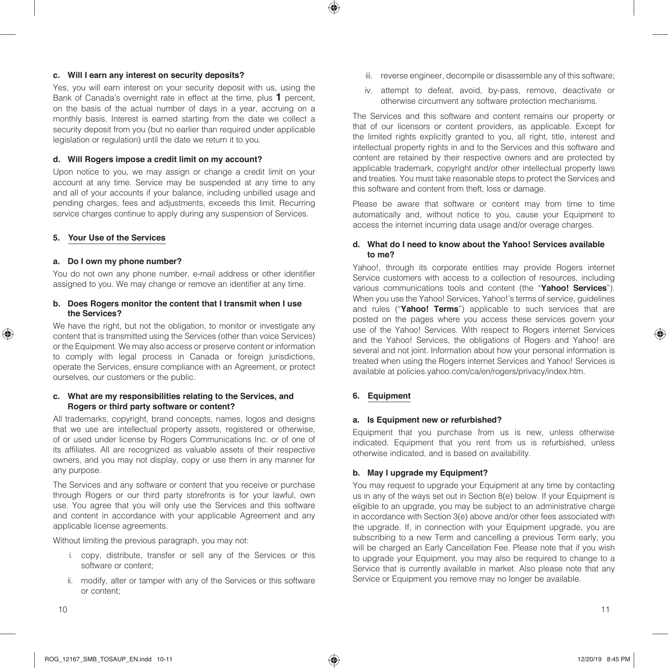#### **c. Will I earn any interest on security deposits?**

Yes, you will earn interest on your security deposit with us, using the Bank of Canada's overnight rate in effect at the time, plus **1** percent, on the basis of the actual number of days in a year, accruing on a monthly basis. Interest is earned starting from the date we collect a security deposit from you (but no earlier than required under applicable legislation or regulation) until the date we return it to you.

#### **d. Will Rogers impose a credit limit on my account?**

Upon notice to you, we may assign or change a credit limit on your account at any time. Service may be suspended at any time to any and all of your accounts if your balance, including unbilled usage and pending charges, fees and adjustments, exceeds this limit. Recurring service charges continue to apply during any suspension of Services.

#### **5. Your Use of the Services**

#### **a. Do I own my phone number?**

You do not own any phone number, e-mail address or other identifier assigned to you. We may change or remove an identifier at any time.

#### **b. Does Rogers monitor the content that I transmit when I use the Services?**

We have the right, but not the obligation, to monitor or investigate any content that is transmitted using the Services (other than voice Services) or the Equipment. We may also access or preserve content or information to comply with legal process in Canada or foreign jurisdictions, operate the Services, ensure compliance with an Agreement, or protect ourselves, our customers or the public.

#### **c. What are my responsibilities relating to the Services, and Rogers or third party software or content?**

All trademarks, copyright, brand concepts, names, logos and designs that we use are intellectual property assets, registered or otherwise, of or used under license by Rogers Communications Inc. or of one of its affiliates. All are recognized as valuable assets of their respective owners, and you may not display, copy or use them in any manner for any purpose.

The Services and any software or content that you receive or purchase through Rogers or our third party storefronts is for your lawful, own use. You agree that you will only use the Services and this software and content in accordance with your applicable Agreement and any applicable license agreements.

Without limiting the previous paragraph, you may not:

- i. copy, distribute, transfer or sell any of the Services or this software or content;
- ii. modify, alter or tamper with any of the Services or this software or content;
- iii. reverse engineer, decompile or disassemble any of this software;
- iv. attempt to defeat, avoid, by-pass, remove, deactivate or otherwise circumvent any software protection mechanisms.

The Services and this software and content remains our property or that of our licensors or content providers, as applicable. Except for the limited rights explicitly granted to you, all right, title, interest and intellectual property rights in and to the Services and this software and content are retained by their respective owners and are protected by applicable trademark, copyright and/or other intellectual property laws and treaties. You must take reasonable steps to protect the Services and this software and content from theft, loss or damage.

Please be aware that software or content may from time to time automatically and, without notice to you, cause your Equipment to access the internet incurring data usage and/or overage charges.

#### **d. What do I need to know about the Yahoo! Services available to me?**

Yahoo!, through its corporate entities may provide Rogers internet Service customers with access to a collection of resources, including various communications tools and content (the "**Yahoo! Services**"). When you use the Yahoo! Services, Yahoo!'s terms of service, quidelines and rules ("**Yahoo! Terms**") applicable to such services that are posted on the pages where you access these services govern your use of the Yahoo! Services. With respect to Rogers internet Services and the Yahoo! Services, the obligations of Rogers and Yahoo! are several and not joint. Information about how your personal information is treated when using the Rogers internet Services and Yahoo! Services is available at policies.yahoo.com/ca/en/rogers/privacy/index.htm.

# **6. Equipment**

### **a. Is Equipment new or refurbished?**

Equipment that you purchase from us is new, unless otherwise indicated. Equipment that you rent from us is refurbished, unless otherwise indicated, and is based on availability.

## **b. May I upgrade my Equipment?**

You may request to upgrade your Equipment at any time by contacting us in any of the ways set out in Section 8(e) below. If your Equipment is eligible to an upgrade, you may be subject to an administrative charge in accordance with Section 3(e) above and/or other fees associated with the upgrade. If, in connection with your Equipment upgrade, you are subscribing to a new Term and cancelling a previous Term early, you will be charged an Early Cancellation Fee. Please note that if you wish to upgrade your Equipment, you may also be required to change to a Service that is currently available in market. Also please note that any Service or Equipment you remove may no longer be available.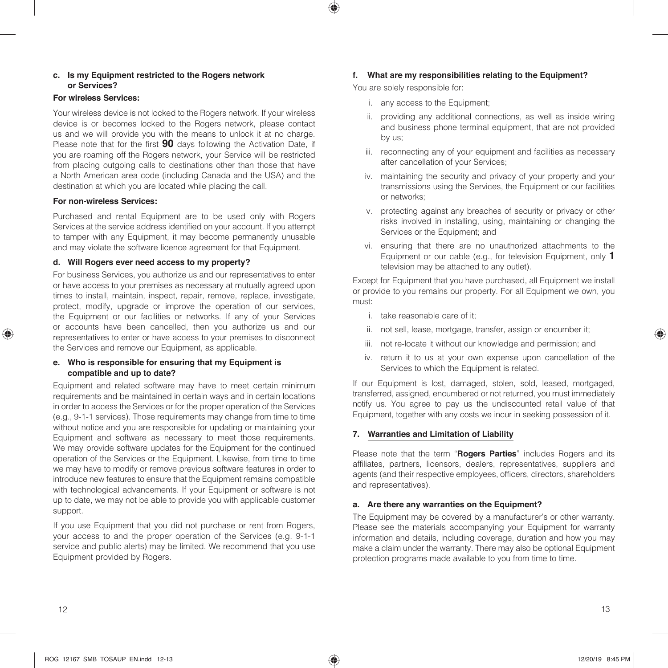#### **c. Is my Equipment restricted to the Rogers network or Services?**

### **For wireless Services:**

Your wireless device is not locked to the Rogers network. If your wireless device is or becomes locked to the Rogers network, please contact us and we will provide you with the means to unlock it at no charge. Please note that for the first **90** days following the Activation Date, if you are roaming off the Rogers network, your Service will be restricted from placing outgoing calls to destinations other than those that have a North American area code (including Canada and the USA) and the destination at which you are located while placing the call.

#### **For non-wireless Services:**

Purchased and rental Equipment are to be used only with Rogers Services at the service address identified on your account. If you attempt to tamper with any Equipment, it may become permanently unusable and may violate the software licence agreement for that Equipment.

#### **d. Will Rogers ever need access to my property?**

For business Services, you authorize us and our representatives to enter or have access to your premises as necessary at mutually agreed upon times to install, maintain, inspect, repair, remove, replace, investigate, protect, modify, upgrade or improve the operation of our services, the Equipment or our facilities or networks. If any of your Services or accounts have been cancelled, then you authorize us and our representatives to enter or have access to your premises to disconnect the Services and remove our Equipment, as applicable.

#### **e. Who is responsible for ensuring that my Equipment is compatible and up to date?**

Equipment and related software may have to meet certain minimum requirements and be maintained in certain ways and in certain locations in order to access the Services or for the proper operation of the Services (e.g., 9-1-1 services). Those requirements may change from time to time without notice and you are responsible for updating or maintaining your Equipment and software as necessary to meet those requirements. We may provide software updates for the Equipment for the continued operation of the Services or the Equipment. Likewise, from time to time we may have to modify or remove previous software features in order to introduce new features to ensure that the Equipment remains compatible with technological advancements. If your Equipment or software is not up to date, we may not be able to provide you with applicable customer support.

If you use Equipment that you did not purchase or rent from Rogers, your access to and the proper operation of the Services (e.g. 9-1-1 service and public alerts) may be limited. We recommend that you use Equipment provided by Rogers.

### **f. What are my responsibilities relating to the Equipment?**

You are solely responsible for:

- i. any access to the Equipment;
- ii. providing any additional connections, as well as inside wiring and business phone terminal equipment, that are not provided by us;
- iii. reconnecting any of your equipment and facilities as necessary after cancellation of your Services;
- iv. maintaining the security and privacy of your property and your transmissions using the Services, the Equipment or our facilities or networks;
- v. protecting against any breaches of security or privacy or other risks involved in installing, using, maintaining or changing the Services or the Equipment; and
- vi. ensuring that there are no unauthorized attachments to the Equipment or our cable (e.g., for television Equipment, only **1** television may be attached to any outlet).

Except for Equipment that you have purchased, all Equipment we install or provide to you remains our property. For all Equipment we own, you must:

- i. take reasonable care of it;
- ii. not sell, lease, mortgage, transfer, assign or encumber it;
- iii. not re-locate it without our knowledge and permission; and
- iv. return it to us at your own expense upon cancellation of the Services to which the Equipment is related.

If our Equipment is lost, damaged, stolen, sold, leased, mortgaged, transferred, assigned, encumbered or not returned, you must immediately notify us. You agree to pay us the undiscounted retail value of that Equipment, together with any costs we incur in seeking possession of it.

#### **7. Warranties and Limitation of Liability**

Please note that the term "**Rogers Parties**" includes Rogers and its affiliates, partners, licensors, dealers, representatives, suppliers and agents (and their respective employees, officers, directors, shareholders and representatives).

#### **a. Are there any warranties on the Equipment?**

The Equipment may be covered by a manufacturer's or other warranty. Please see the materials accompanying your Equipment for warranty information and details, including coverage, duration and how you may make a claim under the warranty. There may also be optional Equipment protection programs made available to you from time to time.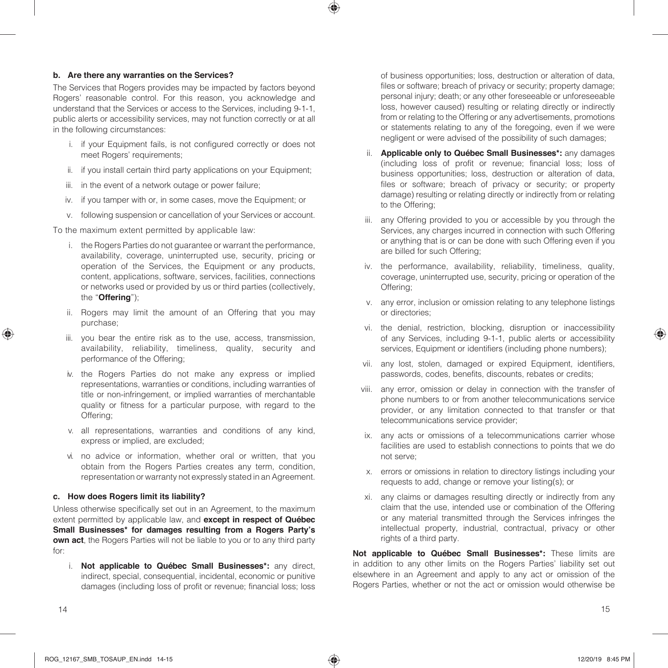#### **b. Are there any warranties on the Services?**

The Services that Rogers provides may be impacted by factors beyond Rogers' reasonable control. For this reason, you acknowledge and understand that the Services or access to the Services, including 9-1-1, public alerts or accessibility services, may not function correctly or at all in the following circumstances:

- i. if your Equipment fails, is not configured correctly or does not meet Rogers' requirements;
- ii. if you install certain third party applications on your Equipment;
- iii. in the event of a network outage or power failure;
- iv. if you tamper with or, in some cases, move the Equipment; or
- v. following suspension or cancellation of your Services or account.

To the maximum extent permitted by applicable law:

- i. the Rogers Parties do not guarantee or warrant the performance, availability, coverage, uninterrupted use, security, pricing or operation of the Services, the Equipment or any products, content, applications, software, services, facilities, connections or networks used or provided by us or third parties (collectively, the "**Offering**");
- ii. Rogers may limit the amount of an Offering that you may purchase;
- iii. you bear the entire risk as to the use, access, transmission, availability, reliability, timeliness, quality, security and performance of the Offering;
- iv. the Rogers Parties do not make any express or implied representations, warranties or conditions, including warranties of title or non-infringement, or implied warranties of merchantable quality or fitness for a particular purpose, with regard to the Offering;
- v. all representations, warranties and conditions of any kind, express or implied, are excluded;
- vi. no advice or information, whether oral or written, that you obtain from the Rogers Parties creates any term, condition, representation or warranty not expressly stated in an Agreement.

#### **c. How does Rogers limit its liability?**

Unless otherwise specifically set out in an Agreement, to the maximum extent permitted by applicable law, and **except in respect of Québec Small Businesses\* for damages resulting from a Rogers Party's own act**, the Rogers Parties will not be liable to you or to any third party for:

i. **Not applicable to Québec Small Businesses\*:** any direct, indirect, special, consequential, incidental, economic or punitive damages (including loss of profit or revenue; financial loss; loss of business opportunities; loss, destruction or alteration of data, files or software; breach of privacy or security; property damage; personal injury; death; or any other foreseeable or unforeseeable loss, however caused) resulting or relating directly or indirectly from or relating to the Offering or any advertisements, promotions or statements relating to any of the foregoing, even if we were negligent or were advised of the possibility of such damages;

- ii. **Applicable only to Québec Small Businesses\*:** any damages (including loss of profit or revenue; financial loss; loss of business opportunities; loss, destruction or alteration of data, files or software; breach of privacy or security; or property damage) resulting or relating directly or indirectly from or relating to the Offering;
- iii. any Offering provided to you or accessible by you through the Services, any charges incurred in connection with such Offering or anything that is or can be done with such Offering even if you are billed for such Offering;
- iv. the performance, availability, reliability, timeliness, quality, coverage, uninterrupted use, security, pricing or operation of the Offering;
- v. any error, inclusion or omission relating to any telephone listings or directories;
- vi. the denial, restriction, blocking, disruption or inaccessibility of any Services, including 9-1-1, public alerts or accessibility services, Equipment or identifiers (including phone numbers);
- vii. any lost, stolen, damaged or expired Equipment, identifiers, passwords, codes, benefits, discounts, rebates or credits;
- viii. any error, omission or delay in connection with the transfer of phone numbers to or from another telecommunications service provider, or any limitation connected to that transfer or that telecommunications service provider;
- ix. any acts or omissions of a telecommunications carrier whose facilities are used to establish connections to points that we do not serve;
- x. errors or omissions in relation to directory listings including your requests to add, change or remove your listing(s); or
- xi. any claims or damages resulting directly or indirectly from any claim that the use, intended use or combination of the Offering or any material transmitted through the Services infringes the intellectual property, industrial, contractual, privacy or other rights of a third party.

**Not applicable to Québec Small Businesses\*:** These limits are in addition to any other limits on the Rogers Parties' liability set out elsewhere in an Agreement and apply to any act or omission of the Rogers Parties, whether or not the act or omission would otherwise be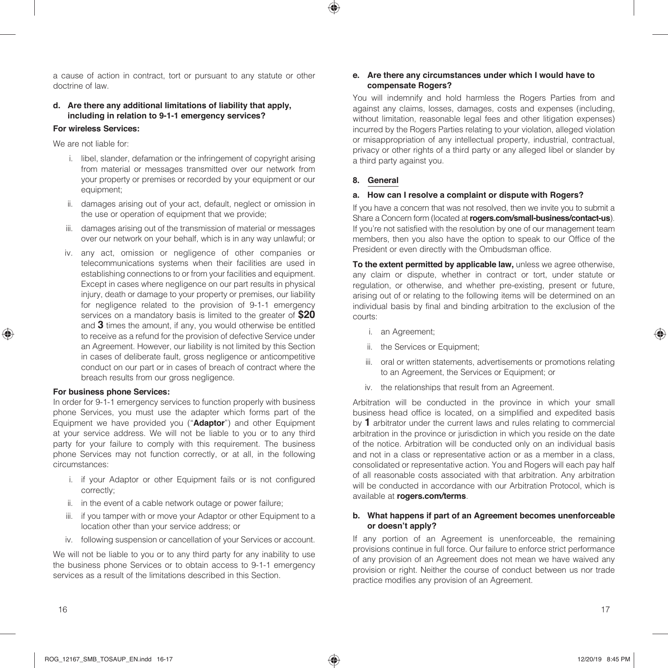a cause of action in contract, tort or pursuant to any statute or other doctrine of law.

### **d. Are there any additional limitations of liability that apply, including in relation to 9-1-1 emergency services?**

#### **For wireless Services:**

We are not liable for:

- i. libel, slander, defamation or the infringement of copyright arising from material or messages transmitted over our network from your property or premises or recorded by your equipment or our equipment;
- ii. damages arising out of your act, default, neglect or omission in the use or operation of equipment that we provide:
- iii. damages arising out of the transmission of material or messages over our network on your behalf, which is in any way unlawful; or
- iv. any act, omission or negligence of other companies or telecommunications systems when their facilities are used in establishing connections to or from your facilities and equipment. Except in cases where negligence on our part results in physical injury, death or damage to your property or premises, our liability for negligence related to the provision of 9-1-1 emergency services on a mandatory basis is limited to the greater of **\$20** and **3** times the amount, if any, you would otherwise be entitled to receive as a refund for the provision of defective Service under an Agreement. However, our liability is not limited by this Section in cases of deliberate fault, gross negligence or anticompetitive conduct on our part or in cases of breach of contract where the breach results from our gross negligence.

#### **For business phone Services:**

In order for 9-1-1 emergency services to function properly with business phone Services, you must use the adapter which forms part of the Equipment we have provided you ("**Adaptor**") and other Equipment at your service address. We will not be liable to you or to any third party for your failure to comply with this requirement. The business phone Services may not function correctly, or at all, in the following circumstances:

- i. if your Adaptor or other Equipment fails or is not configured correctly;
- ii. in the event of a cable network outage or power failure;
- iii. if you tamper with or move your Adaptor or other Equipment to a location other than your service address; or
- iv. following suspension or cancellation of your Services or account.

We will not be liable to you or to any third party for any inability to use the business phone Services or to obtain access to 9-1-1 emergency services as a result of the limitations described in this Section.

#### **e. Are there any circumstances under which I would have to compensate Rogers?**

You will indemnify and hold harmless the Rogers Parties from and against any claims, losses, damages, costs and expenses (including, without limitation, reasonable legal fees and other litigation expenses) incurred by the Rogers Parties relating to your violation, alleged violation or misappropriation of any intellectual property, industrial, contractual, privacy or other rights of a third party or any alleged libel or slander by a third party against you.

#### **8. General**

#### **a. How can I resolve a complaint or dispute with Rogers?**

If you have a concern that was not resolved, then we invite you to submit a Share a Concern form (located at **rogers.com/small-business/contact-us**). If you're not satisfied with the resolution by one of our management team members, then you also have the option to speak to our Office of the President or even directly with the Ombudsman office.

**To the extent permitted by applicable law,** unless we agree otherwise, any claim or dispute, whether in contract or tort, under statute or regulation, or otherwise, and whether pre-existing, present or future, arising out of or relating to the following items will be determined on an individual basis by final and binding arbitration to the exclusion of the courts:

- i. an Agreement;
- ii. the Services or Equipment;
- iii. oral or written statements, advertisements or promotions relating to an Agreement, the Services or Equipment; or
- iv. the relationships that result from an Agreement.

Arbitration will be conducted in the province in which your small business head office is located, on a simplified and expedited basis by **1** arbitrator under the current laws and rules relating to commercial arbitration in the province or jurisdiction in which you reside on the date of the notice. Arbitration will be conducted only on an individual basis and not in a class or representative action or as a member in a class, consolidated or representative action. You and Rogers will each pay half of all reasonable costs associated with that arbitration. Any arbitration will be conducted in accordance with our Arbitration Protocol, which is available at **rogers.com/terms**.

#### **b. What happens if part of an Agreement becomes unenforceable or doesn't apply?**

If any portion of an Agreement is unenforceable, the remaining provisions continue in full force. Our failure to enforce strict performance of any provision of an Agreement does not mean we have waived any provision or right. Neither the course of conduct between us nor trade practice modifies any provision of an Agreement.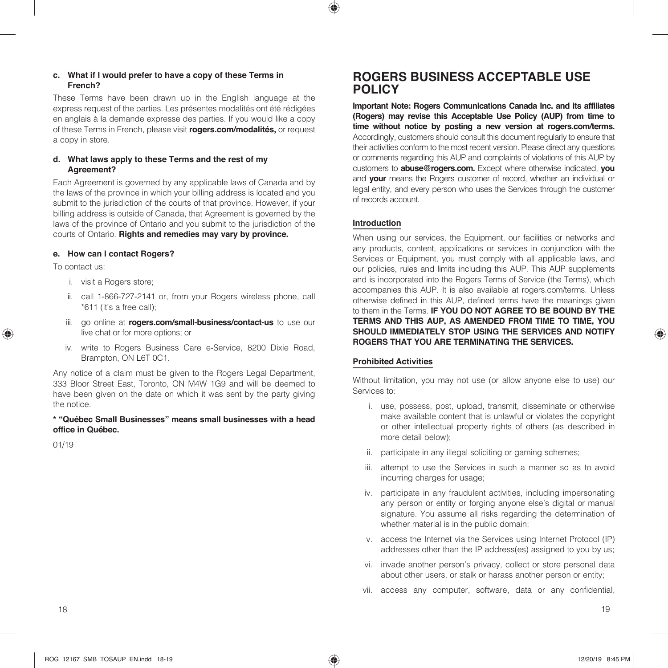#### **c. What if I would prefer to have a copy of these Terms in French?**

These Terms have been drawn up in the English language at the express request of the parties. Les présentes modalités ont été rédigées en anglais à la demande expresse des parties. If you would like a copy of these Terms in French, please visit **rogers.com/modalités,** or request a copy in store.

#### **d. What laws apply to these Terms and the rest of my Agreement?**

Each Agreement is governed by any applicable laws of Canada and by the laws of the province in which your billing address is located and you submit to the jurisdiction of the courts of that province. However, if your billing address is outside of Canada, that Agreement is governed by the laws of the province of Ontario and you submit to the jurisdiction of the courts of Ontario. **Rights and remedies may vary by province.**

#### **e. How can I contact Rogers?**

To contact us:

- i. visit a Rogers store;
- ii. call 1-866-727-2141 or, from your Rogers wireless phone, call \*611 (it's a free call);
- iii. go online at **rogers.com/small-business/contact-us** to use our live chat or for more options; or
- iv. write to Rogers Business Care e-Service, 8200 Dixie Road, Brampton, ON L6T 0C1.

Any notice of a claim must be given to the Rogers Legal Department, 333 Bloor Street East, Toronto, ON M4W 1G9 and will be deemed to have been given on the date on which it was sent by the party giving the notice.

#### **\* "Québec Small Businesses" means small businesses with a head office in Québec.**

01/19

# **ROGERS BUSINESS ACCEPTABLE USE POLICY**

**Important Note: Rogers Communications Canada Inc. and its affiliates (Rogers) may revise this Acceptable Use Policy (AUP) from time to time without notice by posting a new version at rogers.com/terms.**  Accordingly, customers should consult this document regularly to ensure that their activities conform to the most recent version. Please direct any questions or comments regarding this AUP and complaints of violations of this AUP by customers to **abuse@rogers.com.** Except where otherwise indicated, **you**  and **your** means the Rogers customer of record, whether an individual or legal entity, and every person who uses the Services through the customer of records account.

### **Introduction**

When using our services, the Equipment, our facilities or networks and any products, content, applications or services in conjunction with the Services or Equipment, you must comply with all applicable laws, and our policies, rules and limits including this AUP. This AUP supplements and is incorporated into the Rogers Terms of Service (the Terms), which accompanies this AUP. It is also available at rogers.com/terms. Unless otherwise defined in this AUP, defined terms have the meanings given to them in the Terms. **IF YOU DO NOT AGREE TO BE BOUND BY THE TERMS AND THIS AUP, AS AMENDED FROM TIME TO TIME, YOU SHOULD IMMEDIATELY STOP USING THE SERVICES AND NOTIFY ROGERS THAT YOU ARE TERMINATING THE SERVICES.**

#### **Prohibited Activities**

Without limitation, you may not use (or allow anyone else to use) our Services to:

- i. use, possess, post, upload, transmit, disseminate or otherwise make available content that is unlawful or violates the copyright or other intellectual property rights of others (as described in more detail below);
- ii. participate in any illegal soliciting or gaming schemes;
- iii. attempt to use the Services in such a manner so as to avoid incurring charges for usage;
- iv. participate in any fraudulent activities, including impersonating any person or entity or forging anyone else's digital or manual signature. You assume all risks regarding the determination of whether material is in the public domain;
- v. access the Internet via the Services using Internet Protocol (IP) addresses other than the IP address(es) assigned to you by us;
- vi. invade another person's privacy, collect or store personal data about other users, or stalk or harass another person or entity;
- vii. access any computer, software, data or any confidential,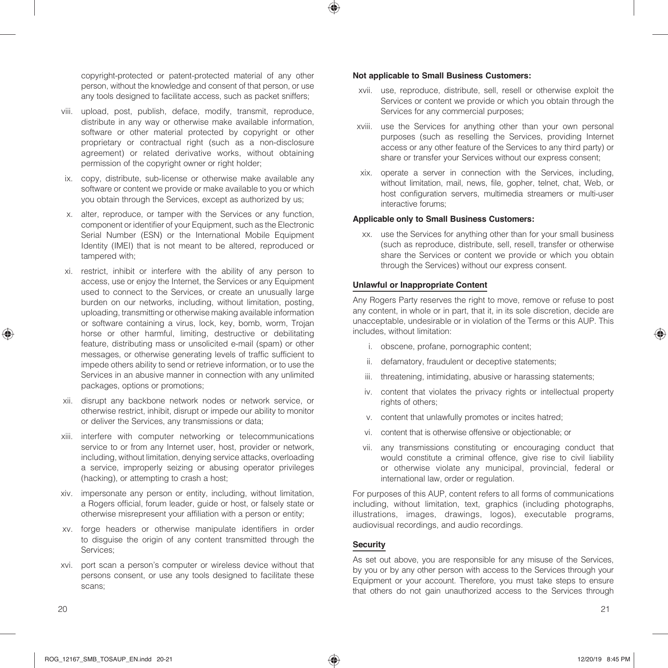copyright-protected or patent-protected material of any other person, without the knowledge and consent of that person, or use any tools designed to facilitate access, such as packet sniffers;

- viii. upload, post, publish, deface, modify, transmit, reproduce, distribute in any way or otherwise make available information, software or other material protected by copyright or other proprietary or contractual right (such as a non-disclosure agreement) or related derivative works, without obtaining permission of the copyright owner or right holder;
- ix. copy, distribute, sub-license or otherwise make available any software or content we provide or make available to you or which you obtain through the Services, except as authorized by us;
- x. alter, reproduce, or tamper with the Services or any function, component or identifier of your Equipment, such as the Electronic Serial Number (ESN) or the International Mobile Equipment Identity (IMEI) that is not meant to be altered, reproduced or tampered with;
- xi. restrict, inhibit or interfere with the ability of any person to access, use or enjoy the Internet, the Services or any Equipment used to connect to the Services, or create an unusually large burden on our networks, including, without limitation, posting, uploading, transmitting or otherwise making available information or software containing a virus, lock, key, bomb, worm, Trojan horse or other harmful, limiting, destructive or debilitating feature, distributing mass or unsolicited e-mail (spam) or other messages, or otherwise generating levels of traffic sufficient to impede others ability to send or retrieve information, or to use the Services in an abusive manner in connection with any unlimited packages, options or promotions;
- xii. disrupt any backbone network nodes or network service, or otherwise restrict, inhibit, disrupt or impede our ability to monitor or deliver the Services, any transmissions or data;
- xiii. interfere with computer networking or telecommunications service to or from any Internet user, host, provider or network, including, without limitation, denying service attacks, overloading a service, improperly seizing or abusing operator privileges (hacking), or attempting to crash a host;
- xiv. impersonate any person or entity, including, without limitation, a Rogers official, forum leader, guide or host, or falsely state or otherwise misrepresent your affiliation with a person or entity;
- xv. forge headers or otherwise manipulate identifiers in order to disguise the origin of any content transmitted through the Services;
- xvi. port scan a person's computer or wireless device without that persons consent, or use any tools designed to facilitate these scans;

#### **Not applicable to Small Business Customers:**

- xvii. use, reproduce, distribute, sell, resell or otherwise exploit the Services or content we provide or which you obtain through the Services for any commercial purposes;
- xviii. use the Services for anything other than your own personal purposes (such as reselling the Services, providing Internet access or any other feature of the Services to any third party) or share or transfer your Services without our express consent;
- xix. operate a server in connection with the Services, including, without limitation, mail, news, file, gopher, telnet, chat, Web, or host configuration servers, multimedia streamers or multi-user interactive forums;

#### **Applicable only to Small Business Customers:**

xx. use the Services for anything other than for your small business (such as reproduce, distribute, sell, resell, transfer or otherwise share the Services or content we provide or which you obtain through the Services) without our express consent.

#### **Unlawful or Inappropriate Content**

Any Rogers Party reserves the right to move, remove or refuse to post any content, in whole or in part, that it, in its sole discretion, decide are unacceptable, undesirable or in violation of the Terms or this AUP. This includes, without limitation:

- i. obscene, profane, pornographic content;
- ii. defamatory, fraudulent or deceptive statements;
- iii. threatening, intimidating, abusive or harassing statements;
- iv. content that violates the privacy rights or intellectual property rights of others;
- v. content that unlawfully promotes or incites hatred;
- vi. content that is otherwise offensive or objectionable; or
- vii. any transmissions constituting or encouraging conduct that would constitute a criminal offence, give rise to civil liability or otherwise violate any municipal, provincial, federal or international law, order or regulation.

For purposes of this AUP, content refers to all forms of communications including, without limitation, text, graphics (including photographs, illustrations, images, drawings, logos), executable programs, audiovisual recordings, and audio recordings.

#### **Security**

As set out above, you are responsible for any misuse of the Services, by you or by any other person with access to the Services through your Equipment or your account. Therefore, you must take steps to ensure that others do not gain unauthorized access to the Services through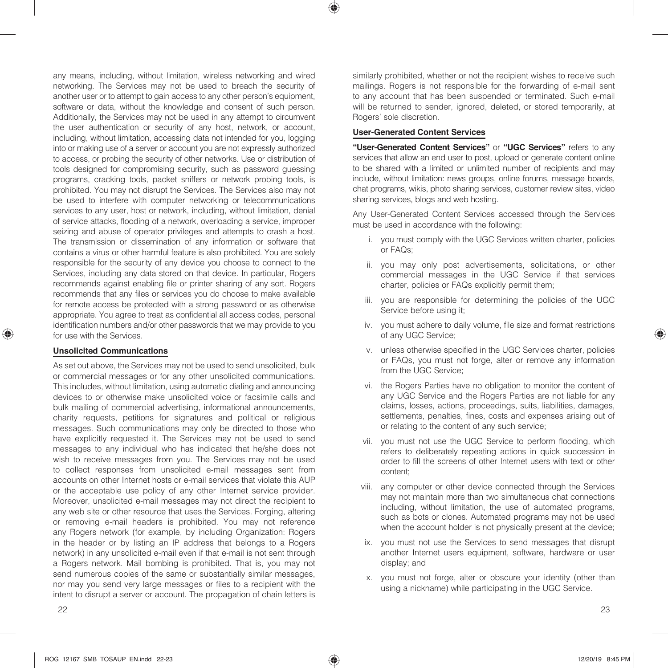any means, including, without limitation, wireless networking and wired networking. The Services may not be used to breach the security of another user or to attempt to gain access to any other person's equipment, software or data, without the knowledge and consent of such person. Additionally, the Services may not be used in any attempt to circumvent the user authentication or security of any host, network, or account, including, without limitation, accessing data not intended for you, logging into or making use of a server or account you are not expressly authorized to access, or probing the security of other networks. Use or distribution of tools designed for compromising security, such as password guessing programs, cracking tools, packet sniffers or network probing tools, is prohibited. You may not disrupt the Services. The Services also may not be used to interfere with computer networking or telecommunications services to any user, host or network, including, without limitation, denial of service attacks, flooding of a network, overloading a service, improper seizing and abuse of operator privileges and attempts to crash a host. The transmission or dissemination of any information or software that contains a virus or other harmful feature is also prohibited. You are solely responsible for the security of any device you choose to connect to the Services, including any data stored on that device. In particular, Rogers recommends against enabling file or printer sharing of any sort. Rogers recommends that any files or services you do choose to make available for remote access be protected with a strong password or as otherwise appropriate. You agree to treat as confidential all access codes, personal identification numbers and/or other passwords that we may provide to you for use with the Services.

#### **Unsolicited Communications**

As set out above, the Services may not be used to send unsolicited, bulk or commercial messages or for any other unsolicited communications. This includes, without limitation, using automatic dialing and announcing devices to or otherwise make unsolicited voice or facsimile calls and bulk mailing of commercial advertising, informational announcements, charity requests, petitions for signatures and political or religious messages. Such communications may only be directed to those who have explicitly requested it. The Services may not be used to send messages to any individual who has indicated that he/she does not wish to receive messages from you. The Services may not be used to collect responses from unsolicited e-mail messages sent from accounts on other Internet hosts or e-mail services that violate this AUP or the acceptable use policy of any other Internet service provider. Moreover, unsolicited e-mail messages may not direct the recipient to any web site or other resource that uses the Services. Forging, altering or removing e-mail headers is prohibited. You may not reference any Rogers network (for example, by including Organization: Rogers in the header or by listing an IP address that belongs to a Rogers network) in any unsolicited e-mail even if that e-mail is not sent through a Rogers network. Mail bombing is prohibited. That is, you may not send numerous copies of the same or substantially similar messages, nor may you send very large messages or files to a recipient with the intent to disrupt a server or account. The propagation of chain letters is

similarly prohibited, whether or not the recipient wishes to receive such mailings. Rogers is not responsible for the forwarding of e-mail sent to any account that has been suspended or terminated. Such e-mail will be returned to sender, ignored, deleted, or stored temporarily, at Rogers' sole discretion.

#### **User-Generated Content Services**

**"User-Generated Content Services"** or **"UGC Services"** refers to any services that allow an end user to post, upload or generate content online to be shared with a limited or unlimited number of recipients and may include, without limitation: news groups, online forums, message boards, chat programs, wikis, photo sharing services, customer review sites, video sharing services, blogs and web hosting.

Any User-Generated Content Services accessed through the Services must be used in accordance with the following:

- i. you must comply with the UGC Services written charter, policies or FAQs;
- ii. you may only post advertisements, solicitations, or other commercial messages in the UGC Service if that services charter, policies or FAQs explicitly permit them;
- iii. you are responsible for determining the policies of the UGC Service before using it;
- iv. you must adhere to daily volume, file size and format restrictions of any UGC Service;
- v. unless otherwise specified in the UGC Services charter, policies or FAQs, you must not forge, alter or remove any information from the UGC Service;
- vi. the Rogers Parties have no obligation to monitor the content of any UGC Service and the Rogers Parties are not liable for any claims, losses, actions, proceedings, suits, liabilities, damages, settlements, penalties, fines, costs and expenses arising out of or relating to the content of any such service;
- vii. you must not use the UGC Service to perform flooding, which refers to deliberately repeating actions in quick succession in order to fill the screens of other Internet users with text or other content;
- viii. any computer or other device connected through the Services may not maintain more than two simultaneous chat connections including, without limitation, the use of automated programs, such as bots or clones. Automated programs may not be used when the account holder is not physically present at the device;
- ix. you must not use the Services to send messages that disrupt another Internet users equipment, software, hardware or user display; and
- x. you must not forge, alter or obscure your identity (other than using a nickname) while participating in the UGC Service.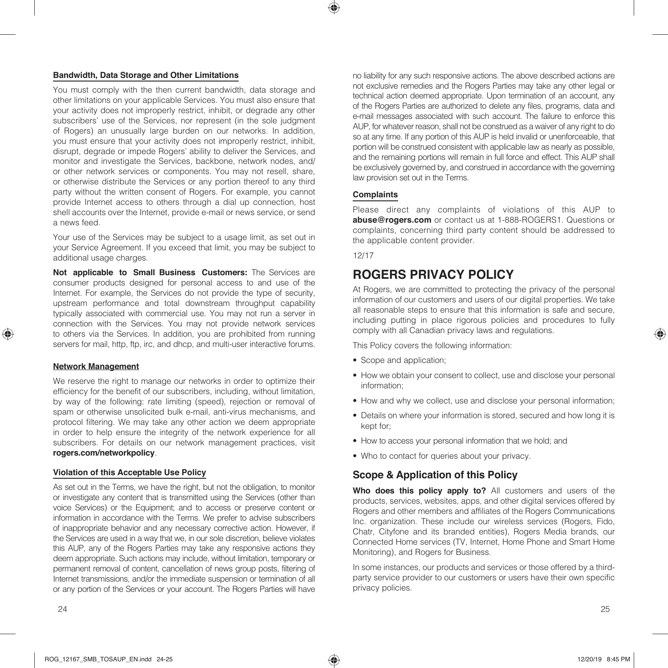#### **Bandwidth, Data Storage and Other Limitations**

You must comply with the then current bandwidth, data storage and other limitations on your applicable Services. You must also ensure that your activity does not improperly restrict, inhibit, or degrade any other subscribers' use of the Services, nor represent (in the sole judgment of Rogers) an unusually large burden on our networks. In addition, you must ensure that your activity does not improperly restrict, inhibit, disrupt, degrade or impede Rogers' ability to deliver the Services, and monitor and investigate the Services, backbone, network nodes, and/ or other network services or components. You may not resell, share, or otherwise distribute the Services or any portion thereof to any third party without the written consent of Rogers. For example, you cannot provide Internet access to others through a dial up connection, host shell accounts over the Internet, provide e-mail or news service, or send a news feed.

Your use of the Services may be subject to a usage limit, as set out in your Service Agreement. If you exceed that limit, you may be subject to additional usage charges.

**Not applicable to Small Business Customers:** The Services are consumer products designed for personal access to and use of the Internet. For example, the Services do not provide the type of security, upstream performance and total downstream throughput capability typically associated with commercial use. You may not run a server in connection with the Services. You may not provide network services to others via the Services. In addition, you are prohibited from running servers for mail, http, ftp, irc, and dhcp, and multi-user interactive forums.

#### **Network Management**

We reserve the right to manage our networks in order to optimize their efficiency for the benefit of our subscribers, including, without limitation, by way of the following: rate limiting (speed), rejection or removal of spam or otherwise unsolicited bulk e-mail, anti-virus mechanisms, and protocol filtering. We may take any other action we deem appropriate in order to help ensure the integrity of the network experience for all subscribers. For details on our network management practices, visit **rogers.com/networkpolicy**.

#### **Violation of this Acceptable Use Policy**

As set out in the Terms, we have the right, but not the obligation, to monitor or investigate any content that is transmitted using the Services (other than voice Services) or the Equipment; and to access or preserve content or information in accordance with the Terms. We prefer to advise subscribers of inappropriate behavior and any necessary corrective action. However, if the Services are used in a way that we, in our sole discretion, believe violates this AUP, any of the Rogers Parties may take any responsive actions they deem appropriate. Such actions may include, without limitation, temporary or permanent removal of content, cancellation of news group posts, filtering of Internet transmissions, and/or the immediate suspension or termination of all or any portion of the Services or your account. The Rogers Parties will have

no liability for any such responsive actions. The above described actions are not exclusive remedies and the Rogers Parties may take any other legal or technical action deemed appropriate. Upon termination of an account, any of the Rogers Parties are authorized to delete any files, programs, data and e-mail messages associated with such account. The failure to enforce this AUP, for whatever reason, shall not be construed as a waiver of any right to do so at any time. If any portion of this AUP is held invalid or unenforceable, that portion will be construed consistent with applicable law as nearly as possible, and the remaining portions will remain in full force and effect. This AUP shall be exclusively governed by, and construed in accordance with the governing law provision set out in the Terms.

#### **Complaints**

Please direct any complaints of violations of this AUP to **abuse@rogers.com** or contact us at 1-888-ROGERS1. Questions or complaints, concerning third party content should be addressed to the applicable content provider.

12/17

# **ROGERS PRIVACY POLICY**

At Rogers, we are committed to protecting the privacy of the personal information of our customers and users of our digital properties. We take all reasonable steps to ensure that this information is safe and secure, including putting in place rigorous policies and procedures to fully comply with all Canadian privacy laws and regulations.

This Policy covers the following information:

- Scope and application;
- How we obtain your consent to collect, use and disclose your personal information;
- How and why we collect, use and disclose your personal information;
- Details on where your information is stored, secured and how long it is kept for;
- How to access your personal information that we hold; and
- Who to contact for queries about your privacy.

# **Scope & Application of this Policy**

**Who does this policy apply to?** All customers and users of the products, services, websites, apps, and other digital services offered by Rogers and other members and affiliates of the Rogers Communications Inc. organization. These include our wireless services (Rogers, Fido, Chatr, Cityfone and its branded entities), Rogers Media brands, our Connected Home services (TV, Internet, Home Phone and Smart Home Monitoring), and Rogers for Business.

In some instances, our products and services or those offered by a thirdparty service provider to our customers or users have their own specific privacy policies.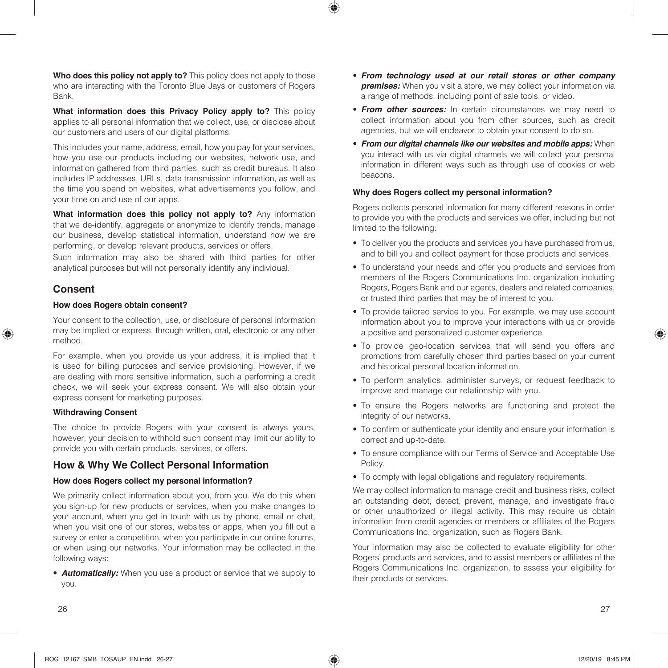**Who does this policy not apply to?** This policy does not apply to those who are interacting with the Toronto Blue Jays or customers of Rogers Bank.

**What information does this Privacy Policy apply to?** This policy applies to all personal information that we collect, use, or disclose about our customers and users of our digital platforms.

This includes your name, address, email, how you pay for your services, how you use our products including our websites, network use, and information gathered from third parties, such as credit bureaus. It also includes IP addresses, URLs, data transmission information, as well as the time you spend on websites, what advertisements you follow, and your time on and use of our apps.

**What information does this policy not apply to?** Any information that we de-identify, aggregate or anonymize to identify trends, manage our business, develop statistical information, understand how we are performing, or develop relevant products, services or offers.

Such information may also be shared with third parties for other analytical purposes but will not personally identify any individual.

# **Consent**

#### **How does Rogers obtain consent?**

Your consent to the collection, use, or disclosure of personal information may be implied or express, through written, oral, electronic or any other method.

For example, when you provide us your address, it is implied that it is used for billing purposes and service provisioning. However, if we are dealing with more sensitive information, such a performing a credit check, we will seek your express consent. We will also obtain your express consent for marketing purposes.

#### **Withdrawing Consent**

The choice to provide Rogers with your consent is always yours, however, your decision to withhold such consent may limit our ability to provide you with certain products, services, or offers.

## **How & Why We Collect Personal Information**

### **How does Rogers collect my personal information?**

We primarily collect information about you, from you. We do this when you sign-up for new products or services, when you make changes to your account, when you get in touch with us by phone, email or chat, when you visit one of our stores, websites or apps, when you fill out a survey or enter a competition, when you participate in our online forums, or when using our networks. Your information may be collected in the following ways:

• *Automatically:* When you use a product or service that we supply to you.

- *From technology used at our retail stores or other company premises:* When you visit a store, we may collect your information via a range of methods, including point of sale tools, or video.
- *From other sources:* In certain circumstances we may need to collect information about you from other sources, such as credit agencies, but we will endeavor to obtain your consent to do so.
- *From our digital channels like our websites and mobile apps:* When you interact with us via digital channels we will collect your personal information in different ways such as through use of cookies or web beacons.

### **Why does Rogers collect my personal information?**

Rogers collects personal information for many different reasons in order to provide you with the products and services we offer, including but not limited to the following:

- To deliver you the products and services you have purchased from us, and to bill you and collect payment for those products and services.
- To understand your needs and offer you products and services from members of the Rogers Communications Inc. organization including Rogers, Rogers Bank and our agents, dealers and related companies, or trusted third parties that may be of interest to you.
- To provide tailored service to you. For example, we may use account information about you to improve your interactions with us or provide a positive and personalized customer experience.
- To provide geo-location services that will send you offers and promotions from carefully chosen third parties based on your current and historical personal location information.
- To perform analytics, administer surveys, or request feedback to improve and manage our relationship with you.
- To ensure the Rogers networks are functioning and protect the integrity of our networks.
- To confirm or authenticate your identity and ensure your information is correct and up-to-date.
- To ensure compliance with our Terms of Service and Acceptable Use Policy.
- To comply with legal obligations and regulatory requirements.

We may collect information to manage credit and business risks, collect an outstanding debt, detect, prevent, manage, and investigate fraud or other unauthorized or illegal activity. This may require us obtain information from credit agencies or members or affiliates of the Rogers Communications Inc. organization, such as Rogers Bank.

Your information may also be collected to evaluate eligibility for other Rogers' products and services, and to assist members or affiliates of the Rogers Communications Inc. organization, to assess your eligibility for their products or services.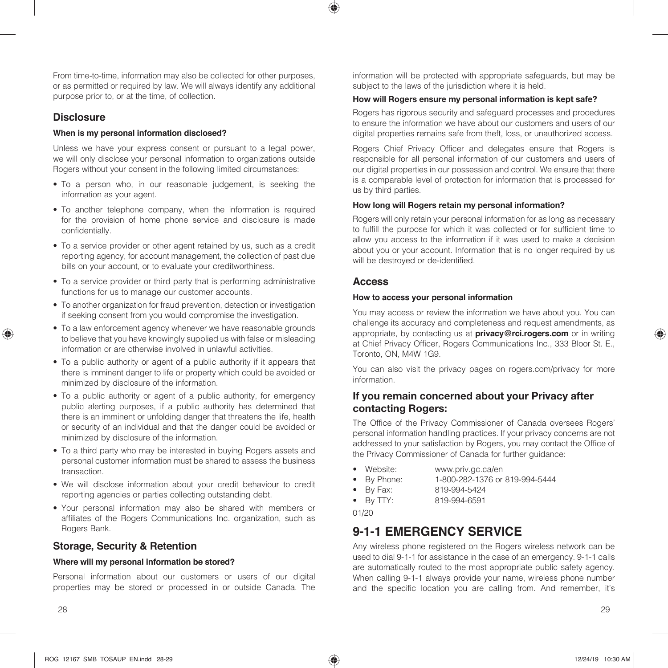From time-to-time, information may also be collected for other purposes, or as permitted or required by law. We will always identify any additional purpose prior to, or at the time, of collection.

# **Disclosure**

#### **When is my personal information disclosed?**

Unless we have your express consent or pursuant to a legal power, we will only disclose your personal information to organizations outside Rogers without your consent in the following limited circumstances:

- To a person who, in our reasonable judgement, is seeking the information as your agent.
- To another telephone company, when the information is required for the provision of home phone service and disclosure is made confidentially.
- To a service provider or other agent retained by us, such as a credit reporting agency, for account management, the collection of past due bills on your account, or to evaluate your creditworthiness.
- To a service provider or third party that is performing administrative functions for us to manage our customer accounts.
- To another organization for fraud prevention, detection or investigation if seeking consent from you would compromise the investigation.
- To a law enforcement agency whenever we have reasonable grounds to believe that you have knowingly supplied us with false or misleading information or are otherwise involved in unlawful activities.
- To a public authority or agent of a public authority if it appears that there is imminent danger to life or property which could be avoided or minimized by disclosure of the information.
- To a public authority or agent of a public authority, for emergency public alerting purposes, if a public authority has determined that there is an imminent or unfolding danger that threatens the life, health or security of an individual and that the danger could be avoided or minimized by disclosure of the information.
- To a third party who may be interested in buying Rogers assets and personal customer information must be shared to assess the business transaction.
- We will disclose information about your credit behaviour to credit reporting agencies or parties collecting outstanding debt.
- Your personal information may also be shared with members or affiliates of the Rogers Communications Inc. organization, such as Rogers Bank.

# **Storage, Security & Retention**

#### **Where will my personal information be stored?**

Personal information about our customers or users of our digital properties may be stored or processed in or outside Canada. The information will be protected with appropriate safeguards, but may be subject to the laws of the jurisdiction where it is held.

#### How will Rogers ensure my personal information is kept safe?

Rogers has rigorous security and safeguard processes and procedures to ensure the information we have about our customers and users of our digital properties remains safe from theft, loss, or unauthorized access.

Rogers Chief Privacy Officer and delegates ensure that Rogers is responsible for all personal information of our customers and users of our digital properties in our possession and control. We ensure that there is a comparable level of protection for information that is processed for us by third parties.

#### How long will Rogers retain my personal information?

Rogers will only retain your personal information for as long as necessary to fulfill the purpose for which it was collected or for sufficient time to allow you access to the information if it was used to make a decision about you or your account. Information that is no longer required by us will be destroyed or de-identified.

### **Access**

#### **How to access your personal information**

You may access or review the information we have about you. You can challenge its accuracy and completeness and request amendments, as appropriate, by contacting us at **privacy@rci.rogers.com** or in writing at Chief Privacy Officer, Rogers Communications Inc., 333 Bloor St. E., Toronto, ON, M4W 1G9.

You can also visit the privacy pages on rogers.com/privacy for more information.

## If you remain concerned about your Privacy after contacting Rogers:

The Office of the Privacy Commissioner of Canada oversees Rogers' personal information handling practices. If your privacy concerns are not addressed to your satisfaction by Rogers, you may contact the Office of the Privacy Commissioner of Canada for further guidance:

- Website: www.priv.gc.ca/en
- By Phone: 1-800-282-1376 or 819-994-5444
- By Fax: 819-994-5424
- By TTY: 819-994-6591
- 

01/20

# **9-1-1 EMERGENCY SERVICE**

Any wireless phone registered on the Rogers wireless network can be used to dial 9-1-1 for assistance in the case of an emergency. 9-1-1 calls are automatically routed to the most appropriate public safety agency. When calling 9-1-1 always provide your name, wireless phone number and the specific location you are calling from. And remember, it's